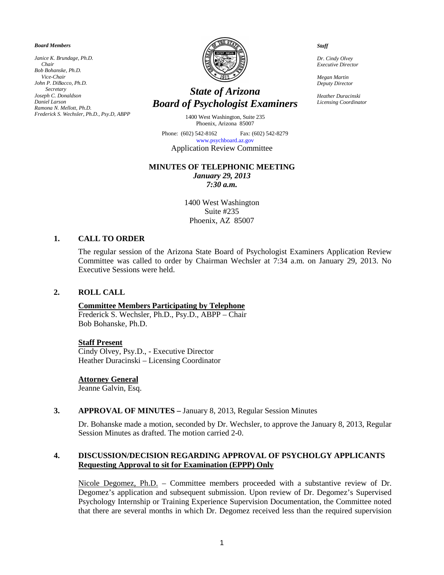*Board Members*

*Janice K. Brundage, Ph.D. Chair Bob Bohanske, Ph.D. Vice-Chair John P. DiBacco, Ph.D. Secretary Joseph C. Donaldson Daniel Larson Ramona N. Mellott, Ph.D. Frederick S. Wechsler, Ph.D., Psy.D, ABPP*



# *State of Arizona Board of Psychologist Examiners*

1400 West Washington, Suite 235 Phoenix, Arizona 85007

Phone: (602) 542-8162 Fax: (602) 542-8279 [www.psychboard.az.gov](http://www.psychboard.az.gov/)  Application Review Committee

#### **MINUTES OF TELEPHONIC MEETING**

*January 29, 2013 7:30 a.m.*

1400 West Washington Suite #235 Phoenix, AZ 85007

## **1. CALL TO ORDER**

The regular session of the Arizona State Board of Psychologist Examiners Application Review Committee was called to order by Chairman Wechsler at 7:34 a.m. on January 29, 2013. No Executive Sessions were held.

#### **2. ROLL CALL**

#### **Committee Members Participating by Telephone**

Frederick S. Wechsler, Ph.D., Psy.D., ABPP – Chair Bob Bohanske, Ph.D.

#### **Staff Present**

Cindy Olvey, Psy.D., - Executive Director Heather Duracinski – Licensing Coordinator

#### **Attorney General**

Jeanne Galvin, Esq.

#### **3. APPROVAL OF MINUTES –** January 8, 2013, Regular Session Minutes

Dr. Bohanske made a motion, seconded by Dr. Wechsler, to approve the January 8, 2013, Regular Session Minutes as drafted. The motion carried 2-0.

## **4. DISCUSSION/DECISION REGARDING APPROVAL OF PSYCHOLGY APPLICANTS Requesting Approval to sit for Examination (EPPP) Only**

Nicole Degomez, Ph.D. – Committee members proceeded with a substantive review of Dr. Degomez's application and subsequent submission. Upon review of Dr. Degomez's Supervised Psychology Internship or Training Experience Supervision Documentation, the Committee noted that there are several months in which Dr. Degomez received less than the required supervision

*Staff*

*Dr. Cindy Olvey Executive Director*

*Megan Martin Deputy Director*

*Heather Duracinski Licensing Coordinator*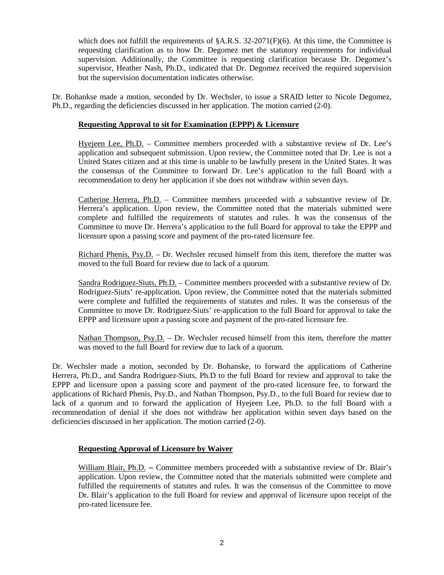which does not fulfill the requirements of  $\&A.R.S. 32-2071(F)(6)$ . At this time, the Committee is requesting clarification as to how Dr. Degomez met the statutory requirements for individual supervision. Additionally, the Committee is requesting clarification because Dr. Degomez's supervisor, Heather Nash, Ph.D., indicated that Dr. Degomez received the required supervision but the supervision documentation indicates otherwise.

Dr. Bohankse made a motion, seconded by Dr. Wechsler, to issue a SRAID letter to Nicole Degomez, Ph.D., regarding the deficiencies discussed in her application. The motion carried (2-0).

## **Requesting Approval to sit for Examination (EPPP) & Licensure**

Hyejeen Lee, Ph.D. – Committee members proceeded with a substantive review of Dr. Lee's application and subsequent submission. Upon review, the Committee noted that Dr. Lee is not a United States citizen and at this time is unable to be lawfully present in the United States. It was the consensus of the Committee to forward Dr. Lee's application to the full Board with a recommendation to deny her application if she does not withdraw within seven days.

Catherine Herrera, Ph.D. – Committee members proceeded with a substantive review of Dr. Herrera's application. Upon review, the Committee noted that the materials submitted were complete and fulfilled the requirements of statutes and rules. It was the consensus of the Committee to move Dr. Herrera's application to the full Board for approval to take the EPPP and licensure upon a passing score and payment of the pro-rated licensure fee.

Richard Phenis, Psy.D. – Dr. Wechsler recused himself from this item, therefore the matter was moved to the full Board for review due to lack of a quorum.

Sandra Rodriguez-Siuts, Ph.D. – Committee members proceeded with a substantive review of Dr. Rodriguez-Siuts' re-application. Upon review, the Committee noted that the materials submitted were complete and fulfilled the requirements of statutes and rules. It was the consensus of the Committee to move Dr. Rodriguez-Siuts' re-application to the full Board for approval to take the EPPP and licensure upon a passing score and payment of the pro-rated licensure fee.

Nathan Thompson, Psy.D. – Dr. Wechsler recused himself from this item, therefore the matter was moved to the full Board for review due to lack of a quorum.

Dr. Wechsler made a motion, seconded by Dr. Bohanske, to forward the applications of Catherine Herrera, Ph.D., and Sandra Rodriguez-Siuts, Ph.D to the full Board for review and approval to take the EPPP and licensure upon a passing score and payment of the pro-rated licensure fee, to forward the applications of Richard Phenis, Psy.D., and Nathan Thompson, Psy.D., to the full Board for review due to lack of a quorum and to forward the application of Hyejeen Lee, Ph.D. to the full Board with a recommendation of denial if she does not withdraw her application within seven days based on the deficiencies discussed in her application. The motion carried (2-0).

## **Requesting Approval of Licensure by Waiver**

William Blair, Ph.D. **–** Committee members proceeded with a substantive review of Dr. Blair's application. Upon review, the Committee noted that the materials submitted were complete and fulfilled the requirements of statutes and rules. It was the consensus of the Committee to move Dr. Blair's application to the full Board for review and approval of licensure upon receipt of the pro-rated licensure fee.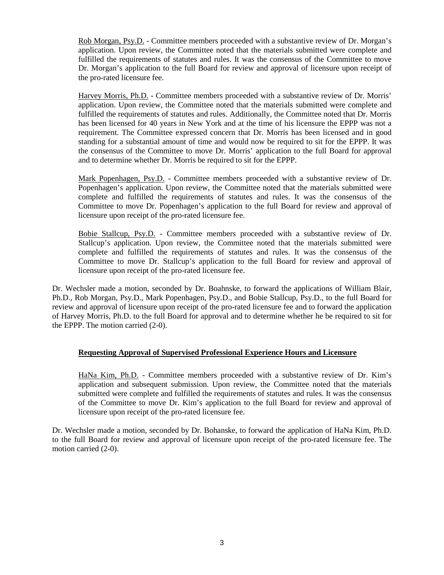Rob Morgan, Psy.D. - Committee members proceeded with a substantive review of Dr. Morgan's application. Upon review, the Committee noted that the materials submitted were complete and fulfilled the requirements of statutes and rules. It was the consensus of the Committee to move Dr. Morgan's application to the full Board for review and approval of licensure upon receipt of the pro-rated licensure fee.

Harvey Morris, Ph.D. - Committee members proceeded with a substantive review of Dr. Morris' application. Upon review, the Committee noted that the materials submitted were complete and fulfilled the requirements of statutes and rules. Additionally, the Committee noted that Dr. Morris has been licensed for 40 years in New York and at the time of his licensure the EPPP was not a requirement. The Committee expressed concern that Dr. Morris has been licensed and in good standing for a substantial amount of time and would now be required to sit for the EPPP. It was the consensus of the Committee to move Dr. Morris' application to the full Board for approval and to determine whether Dr. Morris be required to sit for the EPPP.

Mark Popenhagen, Psy.D. - Committee members proceeded with a substantive review of Dr. Popenhagen's application. Upon review, the Committee noted that the materials submitted were complete and fulfilled the requirements of statutes and rules. It was the consensus of the Committee to move Dr. Popenhagen's application to the full Board for review and approval of licensure upon receipt of the pro-rated licensure fee.

Bobie Stallcup, Psy.D. - Committee members proceeded with a substantive review of Dr. Stallcup's application. Upon review, the Committee noted that the materials submitted were complete and fulfilled the requirements of statutes and rules. It was the consensus of the Committee to move Dr. Stallcup's application to the full Board for review and approval of licensure upon receipt of the pro-rated licensure fee.

Dr. Wechsler made a motion, seconded by Dr. Boahnske, to forward the applications of William Blair, Ph.D., Rob Morgan, Psy.D., Mark Popenhagen, Psy.D., and Bobie Stallcup, Psy.D., to the full Board for review and approval of licensure upon receipt of the pro-rated licensure fee and to forward the application of Harvey Morris, Ph.D. to the full Board for approval and to determine whether he be required to sit for the EPPP. The motion carried (2-0).

## **Requesting Approval of Supervised Professional Experience Hours and Licensure**

HaNa Kim, Ph.D. - Committee members proceeded with a substantive review of Dr. Kim's application and subsequent submission. Upon review, the Committee noted that the materials submitted were complete and fulfilled the requirements of statutes and rules. It was the consensus of the Committee to move Dr. Kim's application to the full Board for review and approval of licensure upon receipt of the pro-rated licensure fee.

Dr. Wechsler made a motion, seconded by Dr. Bohanske, to forward the application of HaNa Kim, Ph.D. to the full Board for review and approval of licensure upon receipt of the pro-rated licensure fee. The motion carried (2-0).